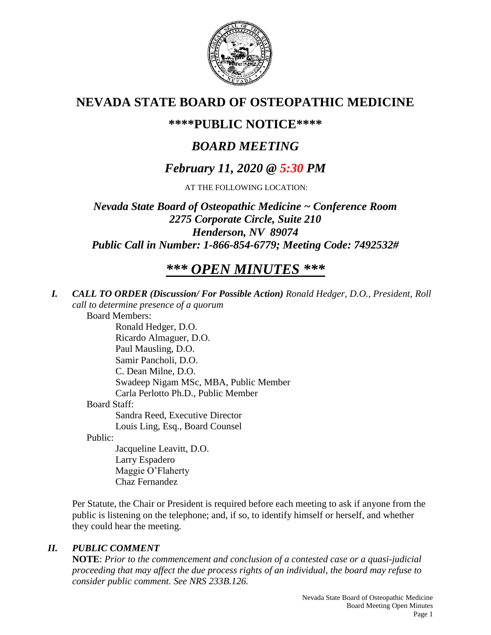

# **NEVADA STATE BOARD OF OSTEOPATHIC MEDICINE**

# **\*\*\*\*PUBLIC NOTICE\*\*\*\***

# *BOARD MEETING*

# *February 11, 2020 @ 5:30 PM*

AT THE FOLLOWING LOCATION:

*Nevada State Board of Osteopathic Medicine ~ Conference Room 2275 Corporate Circle, Suite 210 Henderson, NV 89074 Public Call in Number: 1-866-854-6779; Meeting Code: 7492532#*

# *\*\*\* OPEN MINUTES \*\*\**

*I. CALL TO ORDER (Discussion/ For Possible Action) Ronald Hedger, D.O., President, Roll call to determine presence of a quorum*

Board Members:

Ronald Hedger, D.O. Ricardo Almaguer, D.O. Paul Mausling, D.O. Samir Pancholi, D.O. C. Dean Milne, D.O. Swadeep Nigam MSc, MBA, Public Member Carla Perlotto Ph.D., Public Member Board Staff: Sandra Reed, Executive Director Louis Ling, Esq., Board Counsel

Public:

Jacqueline Leavitt, D.O. Larry Espadero Maggie O'Flaherty Chaz Fernandez

Per Statute, the Chair or President is required before each meeting to ask if anyone from the public is listening on the telephone; and, if so, to identify himself or herself, and whether they could hear the meeting.

# *II. PUBLIC COMMENT*

**NOTE**: *Prior to the commencement and conclusion of a contested case or a quasi-judicial proceeding that may affect the due process rights of an individual, the board may refuse to consider public comment. See NRS 233B.126.*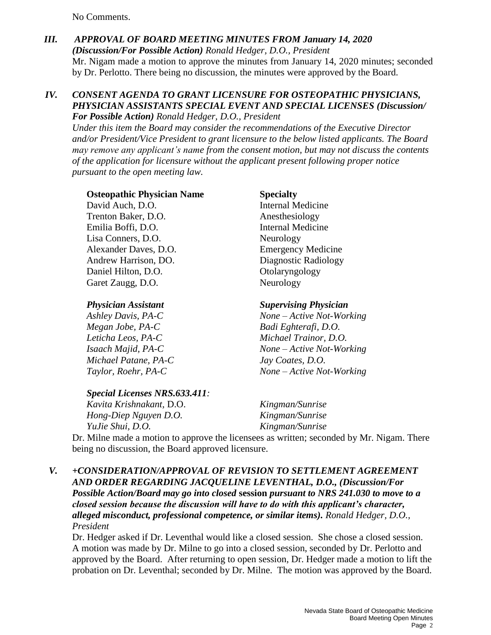No Comments.

*III. APPROVAL OF BOARD MEETING MINUTES FROM January 14, 2020 (Discussion/For Possible Action) Ronald Hedger, D.O., President* Mr. Nigam made a motion to approve the minutes from January 14, 2020 minutes; seconded by Dr. Perlotto. There being no discussion, the minutes were approved by the Board.

#### *IV. CONSENT AGENDA TO GRANT LICENSURE FOR OSTEOPATHIC PHYSICIANS, PHYSICIAN ASSISTANTS SPECIAL EVENT AND SPECIAL LICENSES (Discussion/ For Possible Action) Ronald Hedger, D.O., President*

*Under this item the Board may consider the recommendations of the Executive Director and/or President/Vice President to grant licensure to the below listed applicants. The Board may remove any applicant's name from the consent motion, but may not discuss the contents of the application for licensure without the applicant present following proper notice pursuant to the open meeting law.*

#### **Osteopathic Physician Name Specialty**

David Auch, D.O. **Internal Medicine** Trenton Baker, D.O. Anesthesiology Emilia Boffi, D.O. Internal Medicine Lisa Conners, D.O. Neurology Alexander Daves, D.O. Emergency Medicine Andrew Harrison, DO. Diagnostic Radiology Daniel Hilton, D.O. Colaryngology Garet Zaugg, D.O. Neurology

*Megan Jobe, PA-C Badi Eghterafi, D.O. Michael Patane, PA-C Jay Coates, D.O.*

#### *Special Licenses NRS.633.411:*

*Kavita Krishnakant,* D.O. *Kingman/Sunrise Hong-Diep Nguyen D.O. Kingman/Sunrise YuJie Shui, D.O. Kingman/Sunrise*

Dr. Milne made a motion to approve the licensees as written; seconded by Mr. Nigam. There being no discussion, the Board approved licensure.

## *V. +CONSIDERATION/APPROVAL OF REVISION TO SETTLEMENT AGREEMENT AND ORDER REGARDING JACQUELINE LEVENTHAL, D.O., (Discussion/For Possible Action/Board may go into closed* **session** *pursuant to NRS 241.030 to move to a closed session because the discussion will have to do with this applicant's character, alleged misconduct, professional competence, or similar items). Ronald Hedger, D.O., President*

Dr. Hedger asked if Dr. Leventhal would like a closed session. She chose a closed session. A motion was made by Dr. Milne to go into a closed session, seconded by Dr. Perlotto and approved by the Board. After returning to open session, Dr. Hedger made a motion to lift the probation on Dr. Leventhal; seconded by Dr. Milne. The motion was approved by the Board.

## *Physician Assistant Supervising Physician*

*Ashley Davis, PA-C None – Active Not-Working Leticha Leos, PA-C Michael Trainor, D.O. Isaach Majid, PA-C None – Active Not-Working Taylor, Roehr, PA-C None – Active Not-Working*